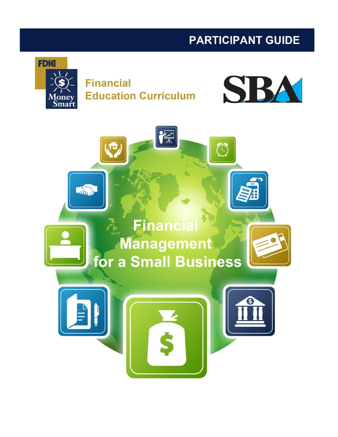# **PARTICIPANT GUIDE**



**Financial Education Curriculum** 



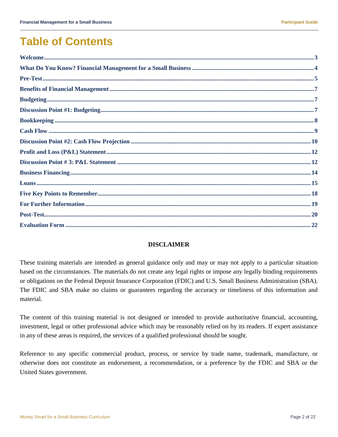# **Table of Contents**

### **DISCLAIMER**

These training materials are intended as general guidance only and may or may not apply to a particular situation based on the circumstances. The materials do not create any legal rights or impose any legally binding requirements or obligations on the Federal Deposit Insurance Corporation (FDIC) and U.S. Small Business Administration (SBA). The FDIC and SBA make no claims or guarantees regarding the accuracy or timeliness of this information and material.

The content of this training material is not designed or intended to provide authoritative financial, accounting, investment, legal or other professional advice which may be reasonably relied on by its readers. If expert assistance in any of these areas is required, the services of a qualified professional should be sought.

Reference to any specific commercial product, process, or service by trade name, trademark, manufacture, or otherwise does not constitute an endorsement, a recommendation, or a preference by the FDIC and SBA or the United States government.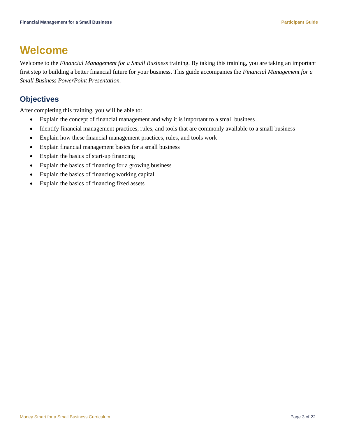## <span id="page-2-0"></span>**Welcome**

Welcome to the *Financial Management for a Small Business* training. By taking this training, you are taking an important first step to building a better financial future for your business. This guide accompanies the *Financial Management for a Small Business PowerPoint Presentation.*

### **Objectives**

After completing this training, you will be able to:

- Explain the concept of financial management and why it is important to a small business
- Identify financial management practices, rules, and tools that are commonly available to a small business
- Explain how these financial management practices, rules, and tools work
- Explain financial management basics for a small business
- Explain the basics of start-up financing
- Explain the basics of financing for a growing business
- Explain the basics of financing working capital
- Explain the basics of financing fixed assets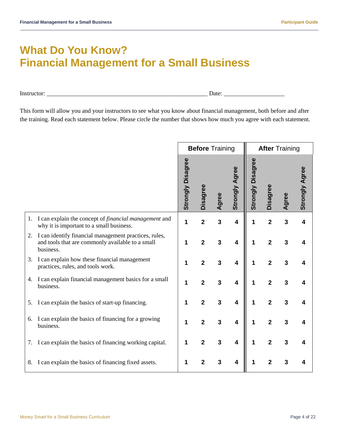# <span id="page-3-0"></span>**What Do You Know? Financial Management for a Small Business**

Instructor: \_\_\_\_\_\_\_\_\_\_\_\_\_\_\_\_\_\_\_\_\_\_\_\_\_\_\_\_\_\_\_\_\_\_\_\_\_\_\_\_\_\_\_\_\_\_\_\_\_\_\_\_\_ Date: \_\_\_\_\_\_\_\_\_\_\_\_\_\_\_\_\_\_\_\_

This form will allow you and your instructors to see what you know about financial management, both before and after the training. Read each statement below. Please circle the number that shows how much you agree with each statement.

|    |                                                                                                                        |                          | <b>Before Training</b>  |       |                         | <b>After Training</b>       |                         |       |                       |  |  |  |
|----|------------------------------------------------------------------------------------------------------------------------|--------------------------|-------------------------|-------|-------------------------|-----------------------------|-------------------------|-------|-----------------------|--|--|--|
|    |                                                                                                                        | <b>Strongly Disagree</b> | <b>Disagree</b>         | Agree | <b>Strongly Agree</b>   | <b>Disagree</b><br>Strongly | <b>Disagree</b>         | Agree | <b>Strongly Agree</b> |  |  |  |
| 1. | I can explain the concept of <i>financial management</i> and<br>why it is important to a small business.               | 1                        | $\overline{2}$          | 3     | $\overline{\mathbf{4}}$ | 1                           | $\overline{2}$          | 3     |                       |  |  |  |
| 2. | I can identify financial management practices, rules,<br>and tools that are commonly available to a small<br>business. | 1                        | $\overline{\mathbf{2}}$ | 3     | $\overline{\mathbf{4}}$ | 1                           | $\overline{\mathbf{2}}$ | 3     |                       |  |  |  |
| 3. | I can explain how these financial management<br>practices, rules, and tools work.                                      |                          | $\overline{2}$          | 3     | 4                       | 1                           | $\overline{2}$          | 3     |                       |  |  |  |
| 4. | I can explain financial management basics for a small<br>business.                                                     | 1                        | 2                       | 3     | 4                       | 1                           | $\overline{2}$          | 3     |                       |  |  |  |
| 5. | I can explain the basics of start-up financing.                                                                        | 1                        | $\overline{2}$          | 3     | $\overline{\mathbf{4}}$ | 1                           | $\overline{2}$          | 3     |                       |  |  |  |
| 6. | I can explain the basics of financing for a growing<br>business.                                                       | 1                        | $\overline{2}$          | 3     | $\overline{\mathbf{4}}$ | 1                           | $\overline{2}$          | 3     |                       |  |  |  |
| 7. | I can explain the basics of financing working capital.                                                                 |                          | $\overline{2}$          | 3     | 4                       | 1                           | $\overline{2}$          | 3     |                       |  |  |  |
| 8. | I can explain the basics of financing fixed assets.                                                                    |                          | 2                       | 3     | 4                       |                             | 2                       | 3     |                       |  |  |  |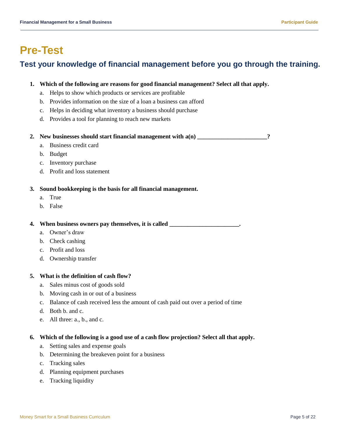# <span id="page-4-0"></span>**Pre-Test**

## **Test your knowledge of financial management before you go through the training.**

### **1. Which of the following are reasons for good financial management? Select all that apply.**

- a. Helps to show which products or services are profitable
- b. Provides information on the size of a loan a business can afford
- c. Helps in deciding what inventory a business should purchase
- d. Provides a tool for planning to reach new markets

### **2. New businesses should start financial management with a(n) \_\_\_\_\_\_\_\_\_\_\_\_\_\_\_\_\_\_\_\_\_\_\_?**

- a. Business credit card
- b. Budget
- c. Inventory purchase
- d. Profit and loss statement

### **3. Sound bookkeeping is the basis for all financial management.**

- a. True
- b. False

**4. When business owners pay themselves, it is called \_\_\_\_\_\_\_\_\_\_\_\_\_\_\_\_\_\_\_\_\_\_\_.**

- a. Owner's draw
- b. Check cashing
- c. Profit and loss
- d. Ownership transfer

### **5. What is the definition of cash flow?**

- a. Sales minus cost of goods sold
- b. Moving cash in or out of a business
- c. Balance of cash received less the amount of cash paid out over a period of time
- d. Both b. and c.
- e. All three: a., b., and c.

### **6. Which of the following is a good use of a cash flow projection? Select all that apply.**

- a. Setting sales and expense goals
- b. Determining the breakeven point for a business
- c. Tracking sales
- d. Planning equipment purchases
- e. Tracking liquidity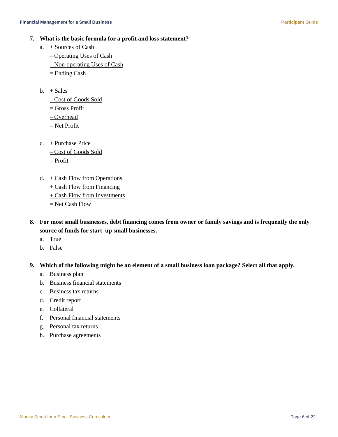- **7. What is the basic formula for a profit and loss statement?**
	- a. + Sources of Cash
		- Operating Uses of Cash
		- Non-operating Uses of Cash
		- = Ending Cash
	- $b. + Sales$ 
		- Cost of Goods Sold
		- $=$  Gross Profit
		- Overhead
		- = Net Profit
	- c. + Purchase Price
		- Cost of Goods Sold
		- = Profit
	- d. + Cash Flow from Operations
		- + Cash Flow from Financing
		- $+$  Cash Flow from Investments
		- $=$  Net Cash Flow
- **8. For most small businesses, debt financing comes from owner or family savings and is frequently the only source of funds for start–up small businesses.**
	- a. True
	- b. False
- **9. Which of the following might be an element of a small business loan package? Select all that apply.**
	- a. Business plan
	- b. Business financial statements
	- c. Business tax returns
	- d. Credit report
	- e. Collateral
	- f. Personal financial statements
	- g. Personal tax returns
	- h. Purchase agreements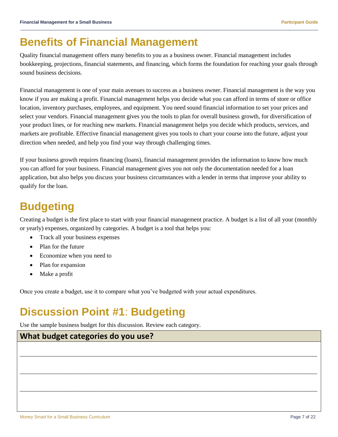# <span id="page-6-0"></span>**Benefits of Financial Management**

Quality financial management offers many benefits to you as a business owner. Financial management includes bookkeeping, projections, financial statements, and financing, which forms the foundation for reaching your goals through sound business decisions.

Financial management is one of your main avenues to success as a business owner. Financial management is the way you know if you are making a profit. Financial management helps you decide what you can afford in terms of store or office location, inventory purchases, employees, and equipment. You need sound financial information to set your prices and select your vendors. Financial management gives you the tools to plan for overall business growth, for diversification of your product lines, or for reaching new markets. Financial management helps you decide which products, services, and markets are profitable. Effective financial management gives you tools to chart your course into the future, adjust your direction when needed, and help you find your way through challenging times.

If your business growth requires financing (loans), financial management provides the information to know how much you can afford for your business. Financial management gives you not only the documentation needed for a loan application, but also helps you discuss your business circumstances with a lender in terms that improve your ability to qualify for the loan.

# <span id="page-6-1"></span>**Budgeting**

Creating a budget is the first place to start with your financial management practice. A budget is a list of all your (monthly or yearly) expenses, organized by categories. A budget is a tool that helps you:

\_\_\_\_\_\_\_\_\_\_\_\_\_\_\_\_\_\_\_\_\_\_\_\_\_\_\_\_\_\_\_\_\_\_\_\_\_\_\_\_\_\_\_\_\_\_\_\_\_\_\_\_\_\_\_\_\_\_\_\_\_\_\_\_\_\_\_\_\_\_\_\_\_\_\_\_\_\_\_\_\_\_\_\_\_\_\_\_\_\_\_\_\_\_\_\_\_\_

\_\_\_\_\_\_\_\_\_\_\_\_\_\_\_\_\_\_\_\_\_\_\_\_\_\_\_\_\_\_\_\_\_\_\_\_\_\_\_\_\_\_\_\_\_\_\_\_\_\_\_\_\_\_\_\_\_\_\_\_\_\_\_\_\_\_\_\_\_\_\_\_\_\_\_\_\_\_\_\_\_\_\_\_\_\_\_\_\_\_\_\_\_\_\_\_\_\_

\_\_\_\_\_\_\_\_\_\_\_\_\_\_\_\_\_\_\_\_\_\_\_\_\_\_\_\_\_\_\_\_\_\_\_\_\_\_\_\_\_\_\_\_\_\_\_\_\_\_\_\_\_\_\_\_\_\_\_\_\_\_\_\_\_\_\_\_\_\_\_\_\_\_\_\_\_\_\_\_\_\_\_\_\_\_\_\_\_\_\_\_\_\_\_\_\_\_

- Track all your business expenses
- Plan for the future
- Economize when you need to
- Plan for expansion
- Make a profit

Once you create a budget, use it to compare what you've budgeted with your actual expenditures.

# <span id="page-6-2"></span>**Discussion Point #1**: **Budgeting**

Use the sample business budget for this discussion. Review each category.

### **What budget categories do you use?**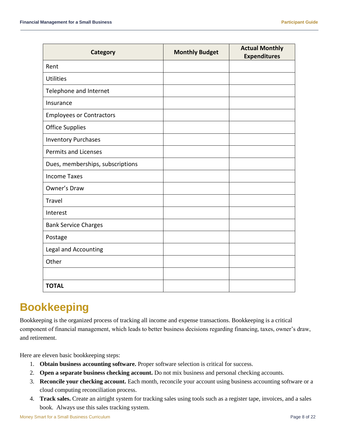| Category                         | <b>Monthly Budget</b> | <b>Actual Monthly</b><br><b>Expenditures</b> |
|----------------------------------|-----------------------|----------------------------------------------|
| Rent                             |                       |                                              |
| <b>Utilities</b>                 |                       |                                              |
| Telephone and Internet           |                       |                                              |
| Insurance                        |                       |                                              |
| <b>Employees or Contractors</b>  |                       |                                              |
| <b>Office Supplies</b>           |                       |                                              |
| <b>Inventory Purchases</b>       |                       |                                              |
| <b>Permits and Licenses</b>      |                       |                                              |
| Dues, memberships, subscriptions |                       |                                              |
| <b>Income Taxes</b>              |                       |                                              |
| Owner's Draw                     |                       |                                              |
| Travel                           |                       |                                              |
| Interest                         |                       |                                              |
| <b>Bank Service Charges</b>      |                       |                                              |
| Postage                          |                       |                                              |
| Legal and Accounting             |                       |                                              |
| Other                            |                       |                                              |
|                                  |                       |                                              |
| <b>TOTAL</b>                     |                       |                                              |

# <span id="page-7-0"></span>**Bookkeeping**

Bookkeeping is the organized process of tracking all income and expense transactions. Bookkeeping is a critical component of financial management, which leads to better business decisions regarding financing, taxes, owner's draw, and retirement.

Here are eleven basic bookkeeping steps:

- 1. **Obtain business accounting software.** Proper software selection is critical for success.
- 2. **Open a separate business checking account.** Do not mix business and personal checking accounts.
- 3. **Reconcile your checking account.** Each month, reconcile your account using business accounting software or a cloud computing reconciliation process.
- 4. **Track sales.** Create an airtight system for tracking sales using tools such as a register tape, invoices, and a sales book. Always use this sales tracking system.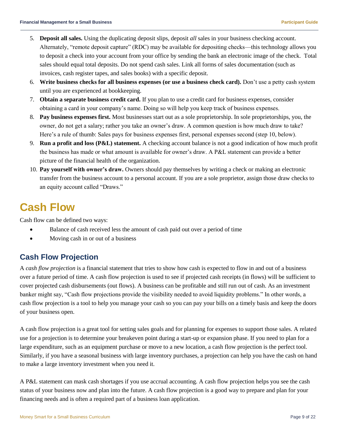- 5. **Deposit all sales.** Using the duplicating deposit slips, deposit *all* sales in your business checking account. Alternately, "remote deposit capture" (RDC) may be available for depositing checks—this technology allows you to deposit a check into your account from your office by sending the bank an electronic image of the check. Total sales should equal total deposits. Do not spend cash sales. Link all forms of sales documentation (such as invoices, cash register tapes, and sales books) with a specific deposit.
- 6. **Write business checks for all business expenses (or use a business check card).** Don't use a petty cash system until you are experienced at bookkeeping.
- 7. **Obtain a separate business credit card.** If you plan to use a credit card for business expenses, consider obtaining a card in your company's name. Doing so will help you keep track of business expenses.
- 8. **Pay business expenses first.** Most businesses start out as a sole proprietorship. In sole proprietorships, you, the owner, do not get a salary; rather you take an owner's draw. A common question is how much draw to take? Here's a rule of thumb: Sales pays for business expenses first, personal expenses second (step 10, below).
- 9. **Run a profit and loss (P&L) statement.** A checking account balance is not a good indication of how much profit the business has made or what amount is available for owner's draw. A P&L statement can provide a better picture of the financial health of the organization.
- 10. **Pay yourself with owner's draw.** Owners should pay themselves by writing a check or making an electronic transfer from the business account to a personal account. If you are a sole proprietor, assign those draw checks to an equity account called "Draws."

# <span id="page-8-0"></span>**Cash Flow**

Cash flow can be defined two ways:

- Balance of cash received less the amount of cash paid out over a period of time
- Moving cash in or out of a business

## **Cash Flow Projection**

A *cash flow projection* is a financial statement that tries to show how cash is expected to flow in and out of a business over a future period of time. A cash flow projection is used to see if projected cash receipts (in flows) will be sufficient to cover projected cash disbursements (out flows). A business can be profitable and still run out of cash. As an investment banker might say, "Cash flow projections provide the visibility needed to avoid liquidity problems." In other words, a cash flow projection is a tool to help you manage your cash so you can pay your bills on a timely basis and keep the doors of your business open.

A cash flow projection is a great tool for setting sales goals and for planning for expenses to support those sales. A related use for a projection is to determine your breakeven point during a start-up or expansion phase. If you need to plan for a large expenditure, such as an equipment purchase or move to a new location, a cash flow projection is the perfect tool. Similarly, if you have a seasonal business with large inventory purchases, a projection can help you have the cash on hand to make a large inventory investment when you need it.

A P&L statement can mask cash shortages if you use accrual accounting. A cash flow projection helps you see the cash status of your business now and plan into the future. A cash flow projection is a good way to prepare and plan for your financing needs and is often a required part of a business loan application.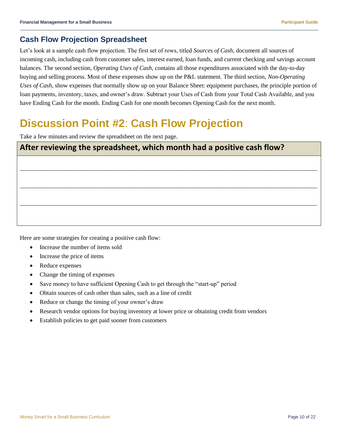### **Cash Flow Projection Spreadsheet**

Let's look at a sample cash flow projection. The first set of rows, titled *Sources of Cash*, document all sources of incoming cash, including cash from customer sales, interest earned, loan funds, and current checking and savings account balances. The second section, *Operating Uses of Cash*, contains all those expenditures associated with the day-to-day buying and selling process. Most of these expenses show up on the P&L statement. The third section, *Non-Operating Uses of Cash*, show expenses that normally show up on your Balance Sheet: equipment purchases, the principle portion of loan payments, inventory, taxes, and owner's draw. Subtract your Uses of Cash from your Total Cash Available, and you have Ending Cash for the month. Ending Cash for one month becomes Opening Cash for the next month.

# <span id="page-9-0"></span>**Discussion Point #2**: **Cash Flow Projection**

Take a few minutes and review the spreadsheet on the next page.

| After reviewing the spreadsheet, which month had a positive cash flow? |  |  |  |  |  |  |  |  |  |
|------------------------------------------------------------------------|--|--|--|--|--|--|--|--|--|
|                                                                        |  |  |  |  |  |  |  |  |  |
|                                                                        |  |  |  |  |  |  |  |  |  |
|                                                                        |  |  |  |  |  |  |  |  |  |
|                                                                        |  |  |  |  |  |  |  |  |  |
|                                                                        |  |  |  |  |  |  |  |  |  |

Here are some strategies for creating a positive cash flow:

- Increase the number of items sold
- Increase the price of items
- Reduce expenses
- Change the timing of expenses
- Save money to have sufficient Opening Cash to get through the "start-up" period
- Obtain sources of cash other than sales, such as a line of credit
- Reduce or change the timing of your owner's draw
- Research vendor options for buying inventory at lower price or obtaining credit from vendors
- Establish policies to get paid sooner from customers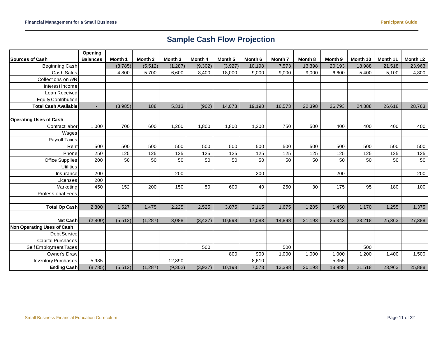## **Sample Cash Flow Projection**

|                               | Opening         |          |                    |          |          |                    |         |                    |         |         |          |          |          |
|-------------------------------|-----------------|----------|--------------------|----------|----------|--------------------|---------|--------------------|---------|---------|----------|----------|----------|
| <b>Sources of Cash</b>        | <b>Balances</b> | Month 1  | Month <sub>2</sub> | Month 3  | Month 4  | Month <sub>5</sub> | Month 6 | Month <sub>7</sub> | Month 8 | Month 9 | Month 10 | Month 11 | Month 12 |
| <b>Beginning Cash</b>         |                 | (8,785)  | (5, 512)           | (1, 287) | (9,302)  | (3,927)            | 10,198  | 7,573              | 13,398  | 20,193  | 18,988   | 21,518   | 23,963   |
| Cash Sales                    |                 | 4,800    | 5,700              | 6,600    | 8,400    | 18,000             | 9,000   | 9,000              | 9,000   | 6,600   | 5,400    | 5,100    | 4,800    |
| Collections on A/R            |                 |          |                    |          |          |                    |         |                    |         |         |          |          |          |
| Interest income               |                 |          |                    |          |          |                    |         |                    |         |         |          |          |          |
| Loan Received                 |                 |          |                    |          |          |                    |         |                    |         |         |          |          |          |
| <b>Equity Contribution</b>    |                 |          |                    |          |          |                    |         |                    |         |         |          |          |          |
| <b>Total Cash Available</b>   |                 | (3,985)  | 188                | 5,313    | (902)    | 14,073             | 19,198  | 16,573             | 22,398  | 26,793  | 24,388   | 26,618   | 28,763   |
|                               |                 |          |                    |          |          |                    |         |                    |         |         |          |          |          |
| <b>Operating Uses of Cash</b> |                 |          |                    |          |          |                    |         |                    |         |         |          |          |          |
| Contract labor                | 1,000           | 700      | 600                | 1,200    | 1,800    | 1,800              | 1,200   | 750                | 500     | 400     | 400      | 400      | 400      |
| Wages                         |                 |          |                    |          |          |                    |         |                    |         |         |          |          |          |
| Payroll Taxes                 |                 |          |                    |          |          |                    |         |                    |         |         |          |          |          |
| Rent                          | 500             | 500      | 500                | 500      | 500      | 500                | 500     | 500                | 500     | 500     | 500      | 500      | 500      |
| Phone                         | 250             | 125      | 125                | 125      | 125      | 125                | 125     | 125                | 125     | 125     | 125      | 125      | 125      |
| <b>Office Supplies</b>        | 200             | 50       | 50                 | 50       | 50       | 50                 | 50      | 50                 | 50      | 50      | 50       | 50       | 50       |
| <b>Utilities</b>              |                 |          |                    |          |          |                    |         |                    |         |         |          |          |          |
| Insurance                     | 200             |          |                    | 200      |          |                    | 200     |                    |         | 200     |          |          | 200      |
| Licenses                      | 200             |          |                    |          |          |                    |         |                    |         |         |          |          |          |
| Marketing                     | 450             | 152      | 200                | 150      | 50       | 600                | 40      | 250                | 30      | 175     | 95       | 180      | 100      |
| <b>Professional Fees</b>      |                 |          |                    |          |          |                    |         |                    |         |         |          |          |          |
|                               |                 |          |                    |          |          |                    |         |                    |         |         |          |          |          |
| <b>Total Op Cash</b>          | 2,800           | 1,527    | 1,475              | 2,225    | 2,525    | 3,075              | 2,115   | 1,675              | 1,205   | 1,450   | 1,170    | 1,255    | 1,375    |
|                               |                 |          |                    |          |          |                    |         |                    |         |         |          |          |          |
| Net Cash                      | (2,800)         | (5, 512) | (1, 287)           | 3,088    | (3, 427) | 10,998             | 17,083  | 14,898             | 21,193  | 25,343  | 23,218   | 25,363   | 27,388   |
| Non Operating Uses of Cash    |                 |          |                    |          |          |                    |         |                    |         |         |          |          |          |
| Debt Service                  |                 |          |                    |          |          |                    |         |                    |         |         |          |          |          |
| <b>Capital Purchases</b>      |                 |          |                    |          |          |                    |         |                    |         |         |          |          |          |
| Self Employment Taxes         |                 |          |                    |          | 500      |                    |         | 500                |         |         | 500      |          |          |
| Owner's Draw                  |                 |          |                    |          |          | 800                | 900     | 1,000              | 1,000   | 1,000   | 1,200    | 1,400    | 1,500    |
| <b>Inventory Purchases</b>    | 5,985           |          |                    | 12,390   |          |                    | 8,610   |                    |         | 5,355   |          |          |          |
| Ending Cash                   | (8, 785)        | (5,512)  | (1, 287)           | (9,302)  | (3,927)  | 10,198             | 7,573   | 13,398             | 20,193  | 18,988  | 21,518   | 23,963   | 25,888   |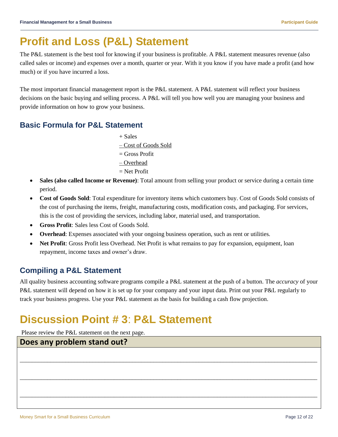# <span id="page-11-0"></span>**Profit and Loss (P&L) Statement**

The P&L statement is the best tool for knowing if your business is profitable. A P&L statement measures revenue (also called sales or income) and expenses over a month, quarter or year. With it you know if you have made a profit (and how much) or if you have incurred a loss.

The most important financial management report is the P&L statement. A P&L statement will reflect your business decisions on the basic buying and selling process. A P&L will tell you how well you are managing your business and provide information on how to grow your business.

### **Basic Formula for P&L Statement**

- + Sales
- Cost of Goods Sold
- = Gross Profit
- Overhead
- = Net Profit
- **Sales (also called Income or Revenue)**: Total amount from selling your product or service during a certain time period.
- **Cost of Goods Sold**: Total expenditure for inventory items which customers buy. Cost of Goods Sold consists of the cost of purchasing the items, freight, manufacturing costs, modification costs, and packaging. For services, this is the cost of providing the services, including labor, material used, and transportation.
- **Gross Profit**: Sales less Cost of Goods Sold.
- **Overhead**: Expenses associated with your ongoing business operation, such as rent or utilities.
- **Net Profit**: Gross Profit less Overhead. Net Profit is what remains to pay for expansion, equipment, loan repayment, income taxes and owner's draw.

## **Compiling a P&L Statement**

All quality business accounting software programs compile a P&L statement at the push of a button. The *accuracy* of your P&L statement will depend on how it is set up for your company and your input data. Print out your P&L regularly to track your business progress. Use your P&L statement as the basis for building a cash flow projection.

# <span id="page-11-1"></span>**Discussion Point # 3**: **P&L Statement**

Please review the P&L statement on the next page.

# **Does any problem stand out?** \_\_\_\_\_\_\_\_\_\_\_\_\_\_\_\_\_\_\_\_\_\_\_\_\_\_\_\_\_\_\_\_\_\_\_\_\_\_\_\_\_\_\_\_\_\_\_\_\_\_\_\_\_\_\_\_\_\_\_\_\_\_\_\_\_\_\_\_\_\_\_\_\_\_\_\_\_\_\_\_\_\_\_\_\_\_\_\_\_\_\_\_\_\_\_\_\_\_ \_\_\_\_\_\_\_\_\_\_\_\_\_\_\_\_\_\_\_\_\_\_\_\_\_\_\_\_\_\_\_\_\_\_\_\_\_\_\_\_\_\_\_\_\_\_\_\_\_\_\_\_\_\_\_\_\_\_\_\_\_\_\_\_\_\_\_\_\_\_\_\_\_\_\_\_\_\_\_\_\_\_\_\_\_\_\_\_\_\_\_\_\_\_\_\_\_\_ \_\_\_\_\_\_\_\_\_\_\_\_\_\_\_\_\_\_\_\_\_\_\_\_\_\_\_\_\_\_\_\_\_\_\_\_\_\_\_\_\_\_\_\_\_\_\_\_\_\_\_\_\_\_\_\_\_\_\_\_\_\_\_\_\_\_\_\_\_\_\_\_\_\_\_\_\_\_\_\_\_\_\_\_\_\_\_\_\_\_\_\_\_\_\_\_\_\_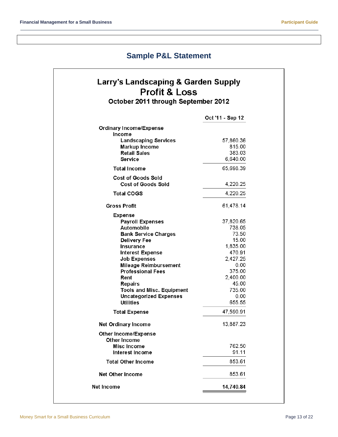## **Sample P&L Statement**

## **Larry's Landscaping & Garden Supply Profit & Loss** October 2011 through September 2012

|                                  | Oct '11 - Sep 12   |
|----------------------------------|--------------------|
| <b>Ordinary Income/Expense</b>   |                    |
| Income                           |                    |
| <b>Landscaping Services</b>      | 57,860.36          |
| <b>Markup Income</b>             | 815.00             |
| <b>Retail Sales</b><br>Service   | 383.03<br>6,640.00 |
|                                  |                    |
| <b>Total Income</b>              | 65,698.39          |
| Cost of Goods Sold               |                    |
| <b>Cost of Goods Sold</b>        | 4,220.25           |
| <b>Total COGS</b>                | 4,220.25           |
| <b>Gross Profit</b>              | 61.478.14          |
| Expense                          |                    |
| <b>Payroll Expenses</b>          | 37,820.65          |
| Automobile                       | 738.05             |
| <b>Bank Service Charges</b>      | 73.50              |
| <b>Delivery Fee</b>              | 15.00              |
| Insurance                        | 1,835.00           |
| <b>Interest Expense</b>          | 470.91             |
| <b>Job Expenses</b>              | 2,427.25           |
| <b>Mileage Reimbursement</b>     | 0.00               |
| <b>Professional Fees</b>         | 375.00             |
| Rent                             | 2,400.00           |
| <b>Repairs</b>                   | 45.00              |
| <b>Tools and Misc. Equipment</b> | 735.00             |
| <b>Uncategorized Expenses</b>    | 0.00               |
| <b>Utilities</b>                 | 655.55             |
| <b>Total Expense</b>             | 47.590.91          |
| <b>Net Ordinary Income</b>       | 13,887.23          |
| Other Income/Expense             |                    |
| Other Income<br>Misc Income      | 762.50             |
| Interest Income                  | 91.11              |
| <b>Total Other Income</b>        | 853.61             |
| <b>Net Other Income</b>          | 853.61             |
| Net Income                       | 14,740.84          |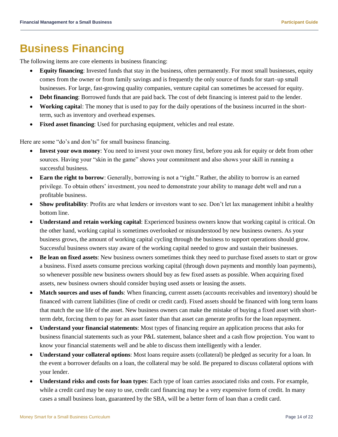## <span id="page-13-0"></span>**Business Financing**

The following items are core elements in business financing:

- **Equity financing**: Invested funds that stay in the business, often permanently. For most small businesses, equity comes from the owner or from family savings and is frequently the only source of funds for start–up small businesses. For large, fast-growing quality companies, venture capital can sometimes be accessed for equity.
- **Debt financing**: Borrowed funds that are paid back. The cost of debt financing is interest paid to the lender.
- **Working capita**l: The money that is used to pay for the daily operations of the business incurred in the shortterm, such as inventory and overhead expenses.
- **Fixed asset financing**: Used for purchasing equipment, vehicles and real estate.

Here are some "do's and don'ts" for small business financing.

- **Invest your own money**: You need to invest your own money first, before you ask for equity or debt from other sources. Having your "skin in the game" shows your commitment and also shows your skill in running a successful business.
- **Earn the right to borrow**: Generally, borrowing is not a "right." Rather, the ability to borrow is an earned privilege. To obtain others' investment, you need to demonstrate your ability to manage debt well and run a profitable business.
- **Show profitability**: Profits are what lenders or investors want to see. Don't let lax management inhibit a healthy bottom line.
- **Understand and retain working capital**: Experienced business owners know that working capital is critical. On the other hand, working capital is sometimes overlooked or misunderstood by new business owners. As your business grows, the amount of working capital cycling through the business to support operations should grow. Successful business owners stay aware of the working capital needed to grow and sustain their businesses.
- **Be lean on fixed assets**: New business owners sometimes think they need to purchase fixed assets to start or grow a business. Fixed assets consume precious working capital (through down payments and monthly loan payments), so whenever possible new business owners should buy as few fixed assets as possible. When acquiring fixed assets, new business owners should consider buying used assets or leasing the assets.
- **Match sources and uses of funds**: When financing, current assets (accounts receivables and inventory) should be financed with current liabilities (line of credit or credit card). Fixed assets should be financed with long term loans that match the use life of the asset. New business owners can make the mistake of buying a fixed asset with shortterm debt, forcing them to pay for an asset faster than that asset can generate profits for the loan repayment.
- **Understand your financial statements**: Most types of financing require an application process that asks for business financial statements such as your P&L statement, balance sheet and a cash flow projection. You want to know your financial statements well and be able to discuss them intelligently with a lender.
- **Understand your collateral options**: Most loans require assets (collateral) be pledged as security for a loan. In the event a borrower defaults on a loan, the collateral may be sold. Be prepared to discuss collateral options with your lender.
- **Understand risks and costs for loan types**: Each type of loan carries associated risks and costs. For example, while a credit card may be easy to use, credit card financing may be a very expensive form of credit. In many cases a small business loan, guaranteed by the SBA, will be a better form of loan than a credit card.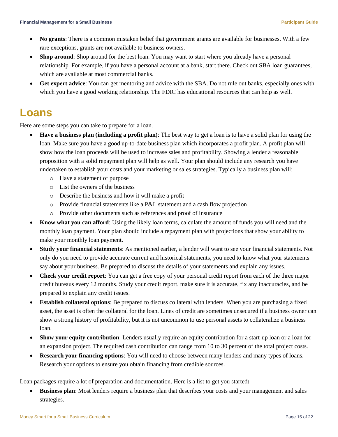- **No grants**: There is a common mistaken belief that government grants are available for businesses. With a few rare exceptions, grants are not available to business owners.
- **Shop around**: Shop around for the best loan. You may want to start where you already have a personal relationship. For example, if you have a personal account at a bank, start there. Check out SBA loan guarantees, which are available at most commercial banks.
- **Get expert advice**: You can get mentoring and advice with the SBA. Do not rule out banks, especially ones with which you have a good working relationship. The FDIC has educational resources that can help as well.

## <span id="page-14-0"></span>**Loans**

Here are some steps you can take to prepare for a loan.

- **Have a business plan (including a profit plan)**: The best way to get a loan is to have a solid plan for using the loan. Make sure you have a good up-to-date business plan which incorporates a profit plan. A profit plan will show how the loan proceeds will be used to increase sales and profitability. Showing a lender a reasonable proposition with a solid repayment plan will help as well. Your plan should include any research you have undertaken to establish your costs and your marketing or sales strategies. Typically a business plan will:
	- o Have a statement of purpose
	- o List the owners of the business
	- o Describe the business and how it will make a profit
	- o Provide financial statements like a P&L statement and a cash flow projection
	- o Provide other documents such as references and proof of insurance
- **Know what you can afford**: Using the likely loan terms, calculate the amount of funds you will need and the monthly loan payment. Your plan should include a repayment plan with projections that show your ability to make your monthly loan payment.
- **Study your financial statements**: As mentioned earlier, a lender will want to see your financial statements. Not only do you need to provide accurate current and historical statements, you need to know what your statements say about your business. Be prepared to discuss the details of your statements and explain any issues.
- **Check your credit report**: You can get a free copy of your personal credit report from each of the three major credit bureaus every 12 months. Study your credit report, make sure it is accurate, fix any inaccuracies, and be prepared to explain any credit issues.
- **Establish collateral options**: Be prepared to discuss collateral with lenders. When you are purchasing a fixed asset, the asset is often the collateral for the loan. Lines of credit are sometimes unsecured if a business owner can show a strong history of profitability, but it is not uncommon to use personal assets to collateralize a business loan.
- **Show your equity contribution**: Lenders usually require an equity contribution for a start-up loan or a loan for an expansion project. The required cash contribution can range from 10 to 30 percent of the total project costs.
- **Research your financing options**: You will need to choose between many lenders and many types of loans. Research your options to ensure you obtain financing from credible sources.

Loan packages require a lot of preparation and documentation. Here is a list to get you started**:**

 **Business plan**: Most lenders require a business plan that describes your costs and your management and sales strategies.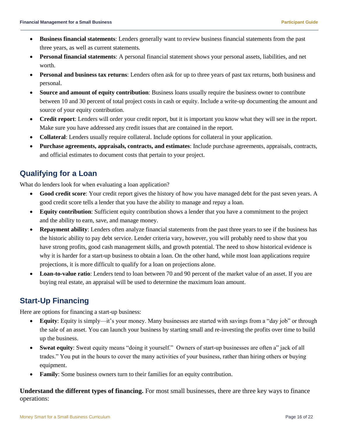- **Business financial statements**: Lenders generally want to review business financial statements from the past three years, as well as current statements.
- **Personal financial statements**: A personal financial statement shows your personal assets, liabilities, and net worth.
- **Personal and business tax returns**: Lenders often ask for up to three years of past tax returns, both business and personal.
- **Source and amount of equity contribution**: Business loans usually require the business owner to contribute between 10 and 30 percent of total project costs in cash or equity. Include a write-up documenting the amount and source of your equity contribution.
- **Credit report**: Lenders will order your credit report, but it is important you know what they will see in the report. Make sure you have addressed any credit issues that are contained in the report.
- **Collateral**: Lenders usually require collateral. Include options for collateral in your application.
- **Purchase agreements, appraisals, contracts, and estimates**: Include purchase agreements, appraisals, contracts, and official estimates to document costs that pertain to your project.

## **Qualifying for a Loan**

What do lenders look for when evaluating a loan application?

- **Good credit score**: Your credit report gives the history of how you have managed debt for the past seven years. A good credit score tells a lender that you have the ability to manage and repay a loan.
- **Equity contribution**: Sufficient equity contribution shows a lender that you have a commitment to the project and the ability to earn, save, and manage money.
- **Repayment ability**: Lenders often analyze financial statements from the past three years to see if the business has the historic ability to pay debt service. Lender criteria vary, however, you will probably need to show that you have strong profits, good cash management skills, and growth potential. The need to show historical evidence is why it is harder for a start-up business to obtain a loan. On the other hand, while most loan applications require projections, it is more difficult to qualify for a loan on projections alone.
- **Loan-to-value ratio**: Lenders tend to loan between 70 and 90 percent of the market value of an asset. If you are buying real estate, an appraisal will be used to determine the maximum loan amount.

## **Start-Up Financing**

Here are options for financing a start-up business:

- **Equity**: Equity is simply—it's your money. Many businesses are started with savings from a "day job" or through the sale of an asset. You can launch your business by starting small and re-investing the profits over time to build up the business.
- **Sweat equity**: Sweat equity means "doing it yourself." Owners of start-up businesses are often a" jack of all trades." You put in the hours to cover the many activities of your business, rather than hiring others or buying equipment.
- **Family**: Some business owners turn to their families for an equity contribution.

**Understand the different types of financing.** For most small businesses, there are three key ways to finance operations: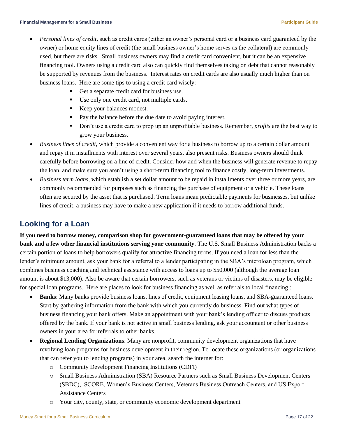- *Personal lines of credit,* such as credit cards (either an owner's personal card or a business card guaranteed by the owner) or home equity lines of credit (the small business owner's home serves as the collateral) are commonly used, but there are risks. Small business owners may find a credit card convenient, but it can be an expensive financing tool. Owners using a credit card also can quickly find themselves taking on debt that cannot reasonably be supported by revenues from the business. Interest rates on credit cards are also usually much higher than on business loans. Here are some tips to using a credit card wisely:
	- Get a separate credit card for business use.
	- Use only one credit card, not multiple cards.
	- Keep your balances modest.
	- Pay the balance before the due date to avoid paying interest.
	- Don't use a credit card to prop up an unprofitable business. Remember, *profits* are the best way to grow your business.
- *Business lines of credit,* which provide a convenient way for a business to borrow up to a certain dollar amount and repay it in installments with interest over several years, also present risks. Business owners should think carefully before borrowing on a line of credit. Consider how and when the business will generate revenue to repay the loan, and make sure you aren't using a short-term financing tool to finance costly, long-term investments.
- *Business term loans,* which establish a set dollar amount to be repaid in installments over three or more years, are commonly recommended for purposes such as financing the purchase of equipment or a vehicle. These loans often are secured by the asset that is purchased. Term loans mean predictable payments for businesses, but unlike lines of credit, a business may have to make a new application if it needs to borrow additional funds.

## **Looking for a Loan**

**If you need to borrow money, comparison shop for government-guaranteed loans that may be offered by your bank and a few other financial institutions serving your community.** The U.S. Small Business Administration backs a certain portion of loans to help borrowers qualify for attractive financing terms. If you need a loan for less than the lender's minimum amount, ask your bank for a referral to a lender participating in the SBA's microloan program, which combines business coaching and technical assistance with access to loans up to \$50,000 (although the average loan amount is about \$13,000). Also be aware that certain borrowers, such as veterans or victims of disasters, may be eligible for special loan programs. Here are places to look for business financing as well as referrals to local financing :

- **Banks**: Many banks provide business loans, lines of credit, equipment leasing loans, and SBA-guaranteed loans. Start by gathering information from the bank with which you currently do business. Find out what types of business financing your bank offers. Make an appointment with your bank's lending officer to discuss products offered by the bank. If your bank is not active in small business lending, ask your accountant or other business owners in your area for referrals to other banks.
- **Regional Lending Organizations**: Many are nonprofit, community development organizations that have revolving loan programs for business development in their region. To locate these organizations (or organizations that can refer you to lending programs) in your area, search the internet for:
	- o Community Development Financing Institutions (CDFI)
	- o Small Business Administration (SBA) Resource Partners such as Small Business Development Centers (SBDC), SCORE, Women's Business Centers, Veterans Business Outreach Centers, and US Export Assistance Centers
	- o Your city, county, state, or community economic development department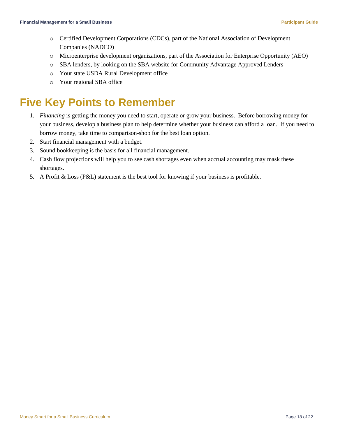- o Certified Development Corporations (CDCs), part of the National Association of Development Companies (NADCO)
- o Microenterprise development organizations, part of the Association for Enterprise Opportunity (AEO)
- o SBA lenders, by looking on the SBA website for Community Advantage Approved Lenders
- o Your state USDA Rural Development office
- o Your regional SBA office

## <span id="page-17-0"></span>**Five Key Points to Remember**

- 1. *Financing* is getting the money you need to start, operate or grow your business. Before borrowing money for your business, develop a business plan to help determine whether your business can afford a loan. If you need to borrow money, take time to comparison-shop for the best loan option.
- 2. Start financial management with a budget.
- 3. Sound bookkeeping is the basis for all financial management.
- 4. Cash flow projections will help you to see cash shortages even when accrual accounting may mask these shortages.
- 5. A Profit & Loss (P&L) statement is the best tool for knowing if your business is profitable.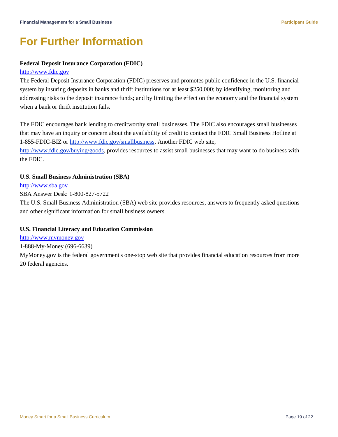# <span id="page-18-0"></span>**For Further Information**

### **Federal Deposit Insurance Corporation (FDIC)**

#### [http://www.fdic.gov](http://www.fdic.gov/)

The Federal Deposit Insurance Corporation (FDIC) preserves and promotes public confidence in the U.S. financial system by insuring deposits in banks and thrift institutions for at least \$250,000; by identifying, monitoring and addressing risks to the deposit insurance funds; and by limiting the effect on the economy and the financial system when a bank or thrift institution fails.

The FDIC encourages bank lending to creditworthy small businesses. The FDIC also encourages small businesses that may have an inquiry or concern about the availability of credit to contact the FDIC Small Business Hotline at 1-855-FDIC-BIZ or [http://www.fdic.gov/smallbusiness.](http://www.fdic.gov/smallbusiness) Another FDIC web site,

[http://www.fdic.gov/buying/goods,](http://www.fdic.gov/buying/goods) provides resources to assist small businesses that may want to do business with the FDIC.

### **U.S. Small Business Administration (SBA)**

#### [http://www.sba.gov](http://www.sba.gov/)

SBA Answer Desk: 1-800-827-5722

The U.S. Small Business Administration (SBA) web site provides resources, answers to frequently asked questions and other significant information for small business owners.

### **U.S. Financial Literacy and Education Commission**

[http://www.mymoney.gov](http://www.mymoney.gov/)

1-888-My-Money (696-6639)

MyMoney.gov is the federal government's one-stop web site that provides financial education resources from more 20 federal agencies.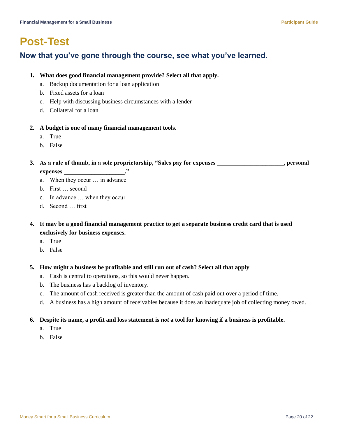## <span id="page-19-0"></span>**Post-Test**

### **Now that you've gone through the course, see what you've learned.**

### **1. What does good financial management provide? Select all that apply.**

- a. Backup documentation for a loan application
- b. Fixed assets for a loan
- c. Help with discussing business circumstances with a lender
- d. Collateral for a loan

### **2. A budget is one of many financial management tools.**

- a. True
- b. False

### **3. As a rule of thumb, in a sole proprietorship, "Sales pay for expenses \_\_\_\_\_\_\_\_\_\_\_\_\_\_\_\_\_\_\_\_\_\_, personal expenses \_\_\_\_\_\_\_\_\_\_\_\_\_\_\_\_\_\_\_\_."**

- a. When they occur … in advance
- b. First … second
- c. In advance … when they occur
- d. Second … first

### **4. It may be a good financial management practice to get a separate business credit card that is used exclusively for business expenses.**

- a. True
- b. False

### **5. How might a business be profitable and still run out of cash? Select all that apply**

- a. Cash is central to operations, so this would never happen.
- b. The business has a backlog of inventory.
- c. The amount of cash received is greater than the amount of cash paid out over a period of time.
- d. A business has a high amount of receivables because it does an inadequate job of collecting money owed.

### **6. Despite its name, a profit and loss statement is** *not* **a tool for knowing if a business is profitable.**

- a. True
- b. False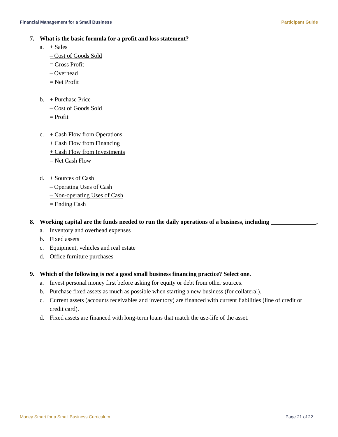- **7. What is the basic formula for a profit and loss statement?**
	- $a. + Sales$ 
		- Cost of Goods Sold
		- $=$  Gross Profit
		- Overhead
		- = Net Profit
	- $b. +$  Purchase Price
		- Cost of Goods Sold
		- $=$  Profit
	- c. + Cash Flow from Operations
		- + Cash Flow from Financing
		- + Cash Flow from Investments
		- $=$  Net Cash Flow
	- d. + Sources of Cash
		- Operating Uses of Cash
		- Non-operating Uses of Cash
		- = Ending Cash

### 8. Working capital are the funds needed to run the daily operations of a business, including

- a. Inventory and overhead expenses
- b. Fixed assets
- c. Equipment, vehicles and real estate
- d. Office furniture purchases

### **9. Which of the following is** *not* **a good small business financing practice? Select one.**

- a. Invest personal money first before asking for equity or debt from other sources.
- b. Purchase fixed assets as much as possible when starting a new business (for collateral).
- c. Current assets (accounts receivables and inventory) are financed with current liabilities (line of credit or credit card).
- d. Fixed assets are financed with long-term loans that match the use-life of the asset.